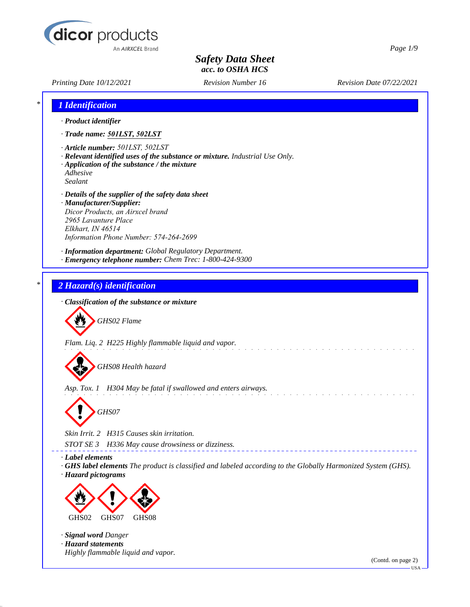

*Printing Date 10/12/2021 Revision Number 16 Revision Date 07/22/2021*

*Page 1/9*

| 1 Identification                                                                                                                                                                                          |                                                                                                             |                    |
|-----------------------------------------------------------------------------------------------------------------------------------------------------------------------------------------------------------|-------------------------------------------------------------------------------------------------------------|--------------------|
| · Product identifier                                                                                                                                                                                      |                                                                                                             |                    |
| · Trade name: 501LST, 502LST                                                                                                                                                                              |                                                                                                             |                    |
| · Article number: 501LST, 502LST<br>· Application of the substance / the mixture<br>Adhesive<br>Sealant                                                                                                   | · Relevant identified uses of the substance or mixture. Industrial Use Only.                                |                    |
| · Details of the supplier of the safety data sheet<br>· Manufacturer/Supplier:<br>Dicor Products, an Airxcel brand<br>2965 Lavanture Place<br>Elkhart, IN 46514<br>Information Phone Number: 574-264-2699 |                                                                                                             |                    |
| · Information department: Global Regulatory Department.<br>· Emergency telephone number: Chem Trec: 1-800-424-9300                                                                                        |                                                                                                             |                    |
| 2 Hazard(s) identification                                                                                                                                                                                |                                                                                                             |                    |
| · Classification of the substance or mixture                                                                                                                                                              |                                                                                                             |                    |
| GHS02 Flame                                                                                                                                                                                               |                                                                                                             |                    |
| Flam. Liq. 2 H225 Highly flammable liquid and vapor.                                                                                                                                                      |                                                                                                             |                    |
| GHS08 Health hazard                                                                                                                                                                                       |                                                                                                             |                    |
| Asp. Tox. 1 H304 May be fatal if swallowed and enters airways.                                                                                                                                            |                                                                                                             |                    |
| GHS07                                                                                                                                                                                                     |                                                                                                             |                    |
| Skin Irrit. 2 H315 Causes skin irritation.                                                                                                                                                                |                                                                                                             |                    |
| STOT SE 3<br>H336 May cause drowsiness or dizziness.                                                                                                                                                      |                                                                                                             |                    |
| · Label elements<br>· Hazard pictograms                                                                                                                                                                   | GHS label elements The product is classified and labeled according to the Globally Harmonized System (GHS). |                    |
|                                                                                                                                                                                                           |                                                                                                             |                    |
| GHS02<br>GHS07<br>GHS08                                                                                                                                                                                   |                                                                                                             |                    |
| · Signal word Danger<br>· Hazard statements                                                                                                                                                               |                                                                                                             |                    |
| Highly flammable liquid and vapor.                                                                                                                                                                        |                                                                                                             |                    |
|                                                                                                                                                                                                           |                                                                                                             | (Contd. on page 2) |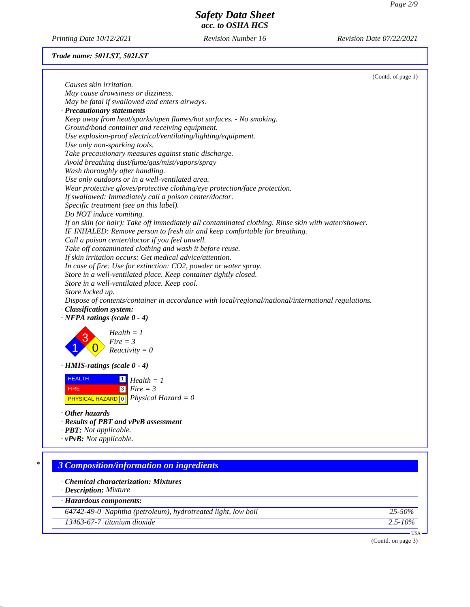*Printing Date 10/12/2021 Revision Number 16 Revision Date 07/22/2021*

# *Trade name: 501LST, 502LST*

|                                                                                                                                                            | (Contd. of page 1) |
|------------------------------------------------------------------------------------------------------------------------------------------------------------|--------------------|
| Causes skin irritation.                                                                                                                                    |                    |
| May cause drowsiness or dizziness.                                                                                                                         |                    |
| May be fatal if swallowed and enters airways.                                                                                                              |                    |
| · Precautionary statements                                                                                                                                 |                    |
| Keep away from heat/sparks/open flames/hot surfaces. - No smoking.                                                                                         |                    |
| Ground/bond container and receiving equipment.                                                                                                             |                    |
| Use explosion-proof electrical/ventilating/lighting/equipment.                                                                                             |                    |
| Use only non-sparking tools.                                                                                                                               |                    |
| Take precautionary measures against static discharge.                                                                                                      |                    |
| Avoid breathing dust/fume/gas/mist/vapors/spray                                                                                                            |                    |
| Wash thoroughly after handling.                                                                                                                            |                    |
| Use only outdoors or in a well-ventilated area.                                                                                                            |                    |
| Wear protective gloves/protective clothing/eye protection/face protection.                                                                                 |                    |
| If swallowed: Immediately call a poison center/doctor.                                                                                                     |                    |
| Specific treatment (see on this label).                                                                                                                    |                    |
| Do NOT induce vomiting.                                                                                                                                    |                    |
| If on skin (or hair): Take off immediately all contaminated clothing. Rinse skin with water/shower.                                                        |                    |
| IF INHALED: Remove person to fresh air and keep comfortable for breathing.                                                                                 |                    |
| Call a poison center/doctor if you feel unwell.                                                                                                            |                    |
| Take off contaminated clothing and wash it before reuse.                                                                                                   |                    |
| If skin irritation occurs: Get medical advice/attention.                                                                                                   |                    |
| In case of fire: Use for extinction: CO2, powder or water spray.                                                                                           |                    |
| Store in a well-ventilated place. Keep container tightly closed.                                                                                           |                    |
| Store in a well-ventilated place. Keep cool.                                                                                                               |                    |
| Store locked up.                                                                                                                                           |                    |
| Dispose of contents/container in accordance with local/regional/national/international regulations.                                                        |                    |
| · Classification system:                                                                                                                                   |                    |
| $\cdot$ NFPA ratings (scale 0 - 4)                                                                                                                         |                    |
| $Health = 1$                                                                                                                                               |                    |
| $Fire = 3$                                                                                                                                                 |                    |
| $Reactivity = 0$                                                                                                                                           |                    |
| $\cdot$ HMIS-ratings (scale 0 - 4)                                                                                                                         |                    |
| <b>HEALTH</b><br>$\boxed{1}$ Health = 1                                                                                                                    |                    |
|                                                                                                                                                            |                    |
| $\sqrt{3}$<br>$Fire = 3$<br><b>FIRE</b>                                                                                                                    |                    |
| <b>PHYSICAL HAZARD</b> $\boxed{0}$ <i>Physical Hazard</i> = 0                                                                                              |                    |
| $\cdot$ Other hazards                                                                                                                                      |                    |
| · Results of PBT and vPvB assessment                                                                                                                       |                    |
| · <b>PBT</b> : Not applicable.                                                                                                                             |                    |
| $\cdot$ vPvB: Not applicable.                                                                                                                              |                    |
|                                                                                                                                                            |                    |
|                                                                                                                                                            |                    |
| <b>3 Composition/information on ingredients</b>                                                                                                            |                    |
|                                                                                                                                                            |                    |
|                                                                                                                                                            |                    |
|                                                                                                                                                            |                    |
|                                                                                                                                                            |                    |
| · Chemical characterization: Mixtures<br>· Description: Mixture<br>· Hazardous components:<br>64742-49-0 Naphtha (petroleum), hydrotreated light, low boil | 25-50%             |
| 13463-67-7 titanium dioxide                                                                                                                                | $2.5 - 10\%$       |

(Contd. on page 3)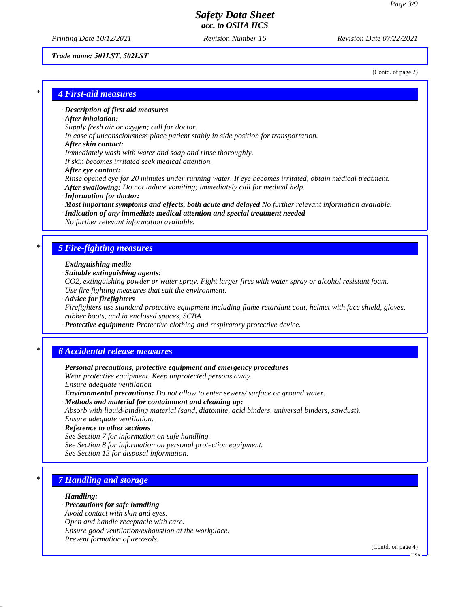*Printing Date 10/12/2021 Revision Number 16 Revision Date 07/22/2021*

#### *Trade name: 501LST, 502LST*

(Contd. of page 2)

## *\* 4 First-aid measures*

### *· Description of first aid measures*

#### *· After inhalation:*

*Supply fresh air or oxygen; call for doctor.*

*In case of unconsciousness place patient stably in side position for transportation.*

#### *· After skin contact:*

*Immediately wash with water and soap and rinse thoroughly.*

*If skin becomes irritated seek medical attention.*

*· After eye contact:*

*Rinse opened eye for 20 minutes under running water. If eye becomes irritated, obtain medical treatment. · After swallowing: Do not induce vomiting; immediately call for medical help.*

- 
- *· Information for doctor:*
- *· Most important symptoms and effects, both acute and delayed No further relevant information available.*
- *· Indication of any immediate medical attention and special treatment needed No further relevant information available.*

## *\* 5 Fire-fighting measures*

- *· Extinguishing media*
- *· Suitable extinguishing agents:*

*CO2, extinguishing powder or water spray. Fight larger fires with water spray or alcohol resistant foam. Use fire fighting measures that suit the environment.*

*· Advice for firefighters*

*Firefighters use standard protective equipment including flame retardant coat, helmet with face shield, gloves, rubber boots, and in enclosed spaces, SCBA.*

*· Protective equipment: Protective clothing and respiratory protective device.*

## *\* 6 Accidental release measures*

- *· Personal precautions, protective equipment and emergency procedures Wear protective equipment. Keep unprotected persons away. Ensure adequate ventilation*
- *· Environmental precautions: Do not allow to enter sewers/ surface or ground water.*
- *· Methods and material for containment and cleaning up: Absorb with liquid-binding material (sand, diatomite, acid binders, universal binders, sawdust). Ensure adequate ventilation.*
- *· Reference to other sections See Section 7 for information on safe handling.*
- *See Section 8 for information on personal protection equipment.*
- *See Section 13 for disposal information.*

# *\* 7 Handling and storage*

#### *· Handling:*

- *· Precautions for safe handling*
- *Avoid contact with skin and eyes.*
- *Open and handle receptacle with care.*
- *Ensure good ventilation/exhaustion at the workplace.*
- *Prevent formation of aerosols.*

(Contd. on page 4)

USA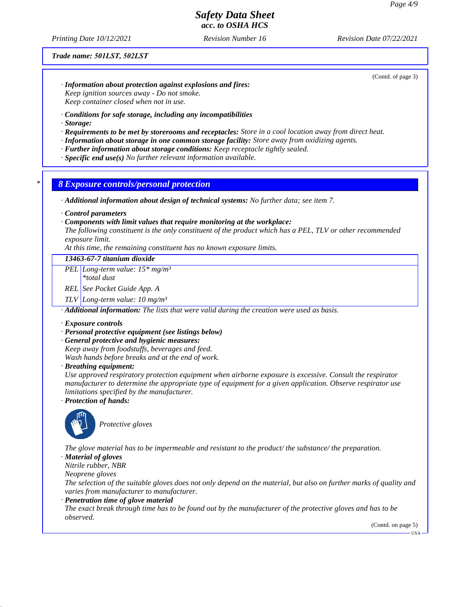*Printing Date 10/12/2021 Revision Number 16 Revision Date 07/22/2021*

*Trade name: 501LST, 502LST*

(Contd. of page 3)

- *· Information about protection against explosions and fires: Keep ignition sources away - Do not smoke. Keep container closed when not in use.*
- *· Conditions for safe storage, including any incompatibilities*
- *· Storage:*
- *· Requirements to be met by storerooms and receptacles: Store in a cool location away from direct heat.*
- *· Information about storage in one common storage facility: Store away from oxidizing agents.*
- *· Further information about storage conditions: Keep receptacle tightly sealed.*
- *· Specific end use(s) No further relevant information available.*

#### *\* 8 Exposure controls/personal protection*

*· Additional information about design of technical systems: No further data; see item 7.*

*· Control parameters*

#### *· Components with limit values that require monitoring at the workplace:*

*The following constituent is the only constituent of the product which has a PEL, TLV or other recommended exposure limit.*

*At this time, the remaining constituent has no known exposure limits.*

### *13463-67-7 titanium dioxide*

*PEL Long-term value: 15\* mg/m³*

*\*total dust*

*REL See Pocket Guide App. A*

*TLV Long-term value: 10 mg/m³*

*· Additional information: The lists that were valid during the creation were used as basis.*

#### *· Exposure controls*

#### *· Personal protective equipment (see listings below)*

*· General protective and hygienic measures:*

*Keep away from foodstuffs, beverages and feed.*

*Wash hands before breaks and at the end of work.*

*· Breathing equipment:*

*Use approved respiratory protection equipment when airborne exposure is excessive. Consult the respirator manufacturer to determine the appropriate type of equipment for a given application. Observe respirator use limitations specified by the manufacturer.*

*· Protection of hands:*



*Protective gloves*

*The glove material has to be impermeable and resistant to the product/ the substance/ the preparation.*

*· Material of gloves*

*Nitrile rubber, NBR*

*Neoprene gloves*

*The selection of the suitable gloves does not only depend on the material, but also on further marks of quality and varies from manufacturer to manufacturer.*

*· Penetration time of glove material*

*The exact break through time has to be found out by the manufacturer of the protective gloves and has to be observed.*

(Contd. on page 5)

**HSA**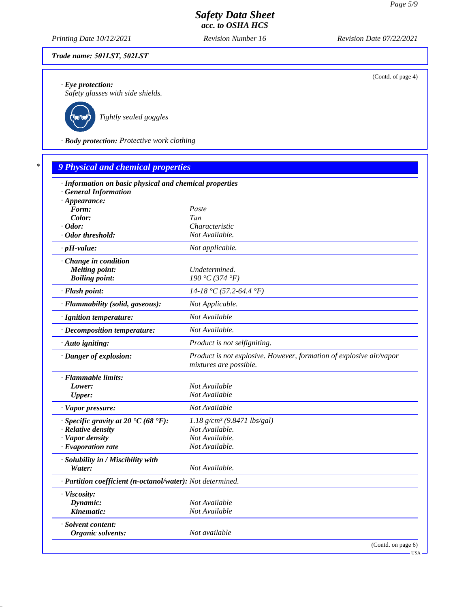(Contd. of page 4)

# *Safety Data Sheet acc. to OSHA HCS*

*Printing Date 10/12/2021 Revision Number 16 Revision Date 07/22/2021*

### *Trade name: 501LST, 502LST*

*· Eye protection:*

*Safety glasses with side shields.*



*Tightly sealed goggles*

*· Body protection: Protective work clothing*

# *\* 9 Physical and chemical properties · Information on basic physical and chemical properties · General Information · Appearance: Form: Paste Color: Tan · Odor: Characteristic · Odor threshold: Not Available. · pH-value: Not applicable. · Change in condition Melting point: Undetermined.*<br> **Boiling point:** 190 °C (374 °F *Boiling point: 190 °C (374 °F) · Flash point: 14-18 °C (57.2-64.4 °F) · Flammability (solid, gaseous): Not Applicable. · Ignition temperature: Not Available · Decomposition temperature: Not Available. · Auto igniting: Product is not selfigniting. · Danger of explosion: Product is not explosive. However, formation of explosive air/vapor mixtures are possible. · Flammable limits: Lower: Not Available Upper: Not Available · Vapor pressure: Not Available · Specific gravity at 20 °C (68 °F): 1.18 g/cm³ (9.8471 lbs/gal) · Relative density Not Available. · Vapor density Not Available. <i>·* Evaporation rate *· Solubility in / Miscibility with Water: Not Available. · Partition coefficient (n-octanol/water): Not determined. · Viscosity: Dynamic: Not Available Kinematic: Not Available · Solvent content: Organic solvents: Not available* (Contd. on page 6)

USA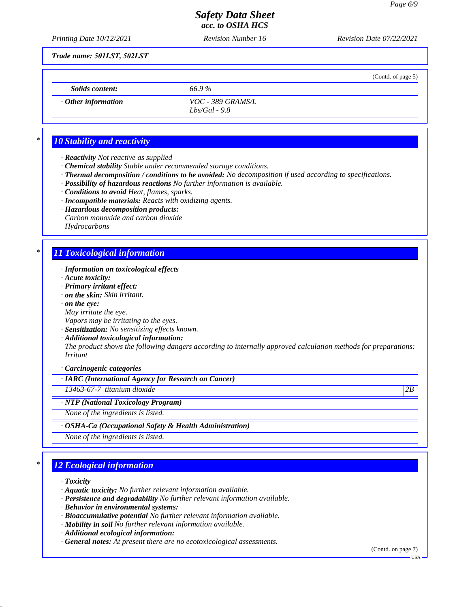(Contd. of page 5)

## *Safety Data Sheet acc. to OSHA HCS*

*Printing Date 10/12/2021 Revision Number 16 Revision Date 07/22/2021*

*Trade name: 501LST, 502LST*

*Solids content: 66.9 %*

*· Other information VOC - 389 GRAMS/L Lbs/Gal - 9.8*

# *\* 10 Stability and reactivity*

- *· Reactivity Not reactive as supplied*
- *· Chemical stability Stable under recommended storage conditions.*
- *· Thermal decomposition / conditions to be avoided: No decomposition if used according to specifications.*
- *· Possibility of hazardous reactions No further information is available.*
- *· Conditions to avoid Heat, flames, sparks.*
- *· Incompatible materials: Reacts with oxidizing agents.*
- *· Hazardous decomposition products:*
- *Carbon monoxide and carbon dioxide Hydrocarbons*

# *\* 11 Toxicological information*

- *· Information on toxicological effects*
- *· Acute toxicity:*
- *· Primary irritant effect:*
- *· on the skin: Skin irritant.*
- *· on the eye:*
- *May irritate the eye.*
- *Vapors may be irritating to the eyes.*
- *· Sensitization: No sensitizing effects known.*
- *· Additional toxicological information:*

*The product shows the following dangers according to internally approved calculation methods for preparations: Irritant*

*· Carcinogenic categories*

## *· IARC (International Agency for Research on Cancer)*

*13463-67-7 titanium dioxide 2B*

*· NTP (National Toxicology Program)*

*None of the ingredients is listed.*

### *· OSHA-Ca (Occupational Safety & Health Administration)*

*None of the ingredients is listed.*

# *\* 12 Ecological information*

- *· Toxicity*
- *· Aquatic toxicity: No further relevant information available.*
- *· Persistence and degradability No further relevant information available.*
- *· Behavior in environmental systems:*
- *· Bioaccumulative potential No further relevant information available.*
- *· Mobility in soil No further relevant information available.*
- *· Additional ecological information:*
- *· General notes: At present there are no ecotoxicological assessments.*

(Contd. on page 7)

USA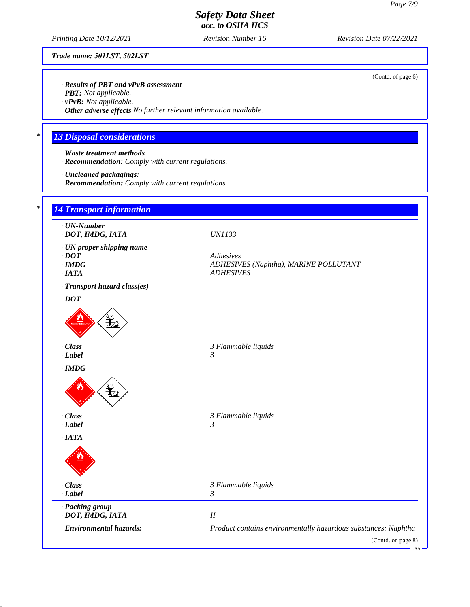(Contd. of page 6)

# *Safety Data Sheet acc. to OSHA HCS*

*Printing Date 10/12/2021 Revision Number 16 Revision Date 07/22/2021*

*Trade name: 501LST, 502LST*

*· Results of PBT and vPvB assessment*

*· PBT: Not applicable.*

*· vPvB: Not applicable.*

*· Other adverse effects No further relevant information available.*

# *\* 13 Disposal considerations*

- *· Waste treatment methods*
- *· Recommendation: Comply with current regulations.*
- *· Uncleaned packagings:*
- *· Recommendation: Comply with current regulations.*

| $\cdot$ UN-Number<br>· DOT, IMDG, IATA | <b>UN1133</b>                                                  |
|----------------------------------------|----------------------------------------------------------------|
| · UN proper shipping name              |                                                                |
| $\cdot$ DOT                            | Adhesives                                                      |
| $\cdot$ IMDG<br>·IATA                  | ADHESIVES (Naphtha), MARINE POLLUTANT<br><b>ADHESIVES</b>      |
| · Transport hazard class(es)           |                                                                |
| $\cdot$ DOT                            |                                                                |
|                                        |                                                                |
| · Class                                | 3 Flammable liquids                                            |
| $-Label$                               | 3<br>___________________________                               |
|                                        |                                                                |
| · Class                                | 3 Flammable liquids                                            |
| $-Label$                               | $\mathfrak{Z}$                                                 |
| $\cdot$ IATA                           |                                                                |
|                                        |                                                                |
| · Class                                | 3 Flammable liquids                                            |
| $\cdot$ Label                          | $\mathfrak{Z}$                                                 |
| · Packing group<br>· DOT, IMDG, IATA   | I                                                              |
| · Environmental hazards:               | Product contains environmentally hazardous substances: Naphtha |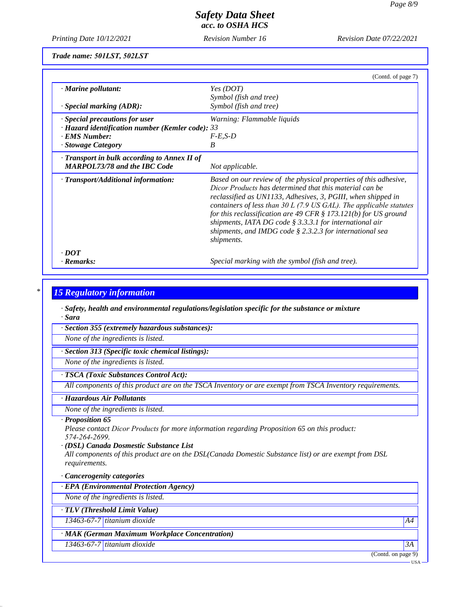*Printing Date 10/12/2021 Revision Number 16 Revision Date 07/22/2021*

*Trade name: 501LST, 502LST*

|                                                        | (Contd. of page 7)                                                                                                                                                                                                                                                                                                                                                                                                                                                                |
|--------------------------------------------------------|-----------------------------------------------------------------------------------------------------------------------------------------------------------------------------------------------------------------------------------------------------------------------------------------------------------------------------------------------------------------------------------------------------------------------------------------------------------------------------------|
| · Marine pollutant:                                    | Yes (DOT)                                                                                                                                                                                                                                                                                                                                                                                                                                                                         |
|                                                        | Symbol (fish and tree)                                                                                                                                                                                                                                                                                                                                                                                                                                                            |
| $\cdot$ Special marking (ADR):                         | Symbol (fish and tree)                                                                                                                                                                                                                                                                                                                                                                                                                                                            |
| · Special precautions for user                         | Warning: Flammable liquids                                                                                                                                                                                                                                                                                                                                                                                                                                                        |
| $\cdot$ Hazard identification number (Kemler code): 33 |                                                                                                                                                                                                                                                                                                                                                                                                                                                                                   |
| · EMS Number:                                          | $F-E,S-D$                                                                                                                                                                                                                                                                                                                                                                                                                                                                         |
| · Stowage Category                                     | B                                                                                                                                                                                                                                                                                                                                                                                                                                                                                 |
| $\cdot$ Transport in bulk according to Annex II of     |                                                                                                                                                                                                                                                                                                                                                                                                                                                                                   |
| <b>MARPOL73/78 and the IBC Code</b>                    | Not applicable.                                                                                                                                                                                                                                                                                                                                                                                                                                                                   |
| · Transport/Additional information:                    | Based on our review of the physical properties of this adhesive,<br>Dicor Products has determined that this material can be<br>reclassified as UN1133, Adhesives, 3, PGIII, when shipped in<br>containers of less than $30 L$ (7.9 US GAL). The applicable statutes<br>for this reclassification are 49 CFR $\S$ 173.121(b) for US ground<br>shipments, IATA DG code § 3.3.3.1 for international air<br>shipments, and IMDG code $\S 2.3.2.3$ for international sea<br>shipments. |
| $\cdot$ DOT                                            |                                                                                                                                                                                                                                                                                                                                                                                                                                                                                   |
| · Remarks:                                             | Special marking with the symbol (fish and tree).                                                                                                                                                                                                                                                                                                                                                                                                                                  |

### *\* 15 Regulatory information*

*· Safety, health and environmental regulations/legislation specific for the substance or mixture · Sara*

*· Section 355 (extremely hazardous substances):*

*None of the ingredients is listed.*

*· Section 313 (Specific toxic chemical listings):*

*None of the ingredients is listed.*

### *· TSCA (Toxic Substances Control Act):*

*All components of this product are on the TSCA Inventory or are exempt from TSCA Inventory requirements.*

#### *· Hazardous Air Pollutants*

*None of the ingredients is listed.*

### *· Proposition 65*

*Please contact Dicor Products for more information regarding Proposition 65 on this product: 574-264-2699.*

#### *· (DSL) Canada Dosmestic Substance List*

*All components of this product are on the DSL(Canada Domestic Substance list) or are exempt from DSL requirements.*

#### *· Cancerogenity categories*

*· EPA (Environmental Protection Agency)*

*None of the ingredients is listed.*

*· TLV (Threshold Limit Value)*

*13463-67-7 titanium dioxide A4*

### *· MAK (German Maximum Workplace Concentration)*

*13463-67-7 titanium dioxide 3A*

(Contd. on page 9)

USA